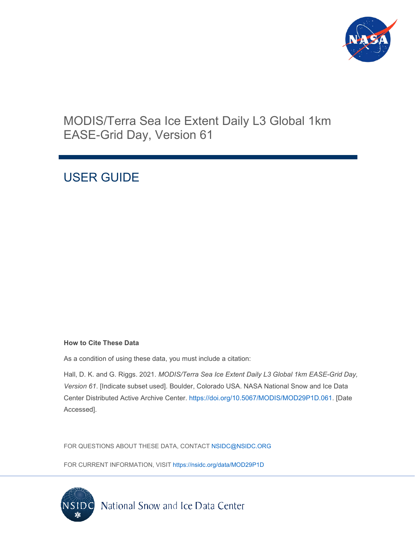

# MODIS/Terra Sea Ice Extent Daily L3 Global 1km EASE-Grid Day, Version 61

# USER GUIDE

#### **How to Cite These Data**

As a condition of using these data, you must include a citation:

Hall, D. K. and G. Riggs. 2021. *MODIS/Terra Sea Ice Extent Daily L3 Global 1km EASE-Grid Day, Version 61*. [Indicate subset used]. Boulder, Colorado USA. NASA National Snow and Ice Data Center Distributed Active Archive Center. [https://doi.org/10.5067/MODIS/MOD29P1D.061.](https://doi.org/10.5067/MODIS/MOD29P1D.061) [Date Accessed].

FOR QUESTIONS ABOUT THESE DATA, CONTACT [NSIDC@NSIDC.ORG](mailto:nsidc@nsidc.org)

FOR CURRENT INFORMATION, VISIT<https://nsidc.org/data/MOD29P1D>

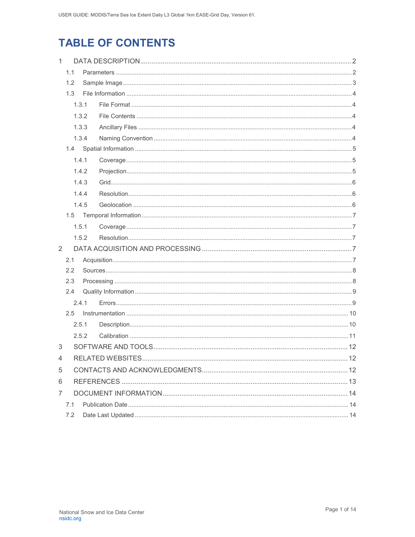# **TABLE OF CONTENTS**

| $\mathbf{1}$           |       |       |  |  |
|------------------------|-------|-------|--|--|
|                        | 1.1   |       |  |  |
|                        | 1.2   |       |  |  |
|                        | 1.3   |       |  |  |
|                        | 1.3.1 |       |  |  |
|                        |       | 1.3.2 |  |  |
|                        |       | 1.3.3 |  |  |
|                        |       | 1.3.4 |  |  |
|                        |       |       |  |  |
|                        |       | 1.4.1 |  |  |
|                        |       | 1.4.2 |  |  |
|                        |       | 1.4.3 |  |  |
|                        |       | 1.4.4 |  |  |
|                        |       | 1.4.5 |  |  |
|                        |       |       |  |  |
|                        |       | 1.5.1 |  |  |
|                        |       | 1.5.2 |  |  |
| $\overline{2}$         |       |       |  |  |
|                        | 2.1   |       |  |  |
|                        | 2.2   |       |  |  |
|                        | 2.3   |       |  |  |
|                        | 2.4   |       |  |  |
|                        |       | 24.1  |  |  |
| $2.5^{\circ}$<br>2.5.1 |       |       |  |  |
|                        |       |       |  |  |
|                        |       | 2.5.2 |  |  |
| 3                      |       |       |  |  |
| 4                      |       |       |  |  |
| 5                      |       |       |  |  |
| 6                      |       |       |  |  |
| $\overline{7}$         |       |       |  |  |
|                        | 7.1   |       |  |  |
| 7.2                    |       |       |  |  |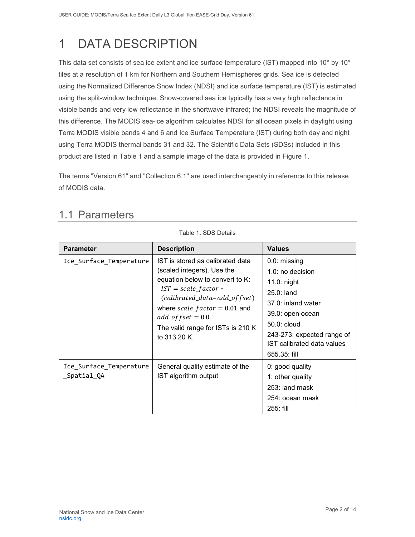# <span id="page-2-0"></span>1 DATA DESCRIPTION

This data set consists of sea ice extent and ice surface temperature (IST) mapped into 10° by 10° tiles at a resolution of 1 km for Northern and Southern Hemispheres grids. Sea ice is detected using the Normalized Difference Snow Index (NDSI) and ice surface temperature (IST) is estimated using the split-window technique. Snow-covered sea ice typically has a very high reflectance in visible bands and very low reflectance in the shortwave infrared; the NDSI reveals the magnitude of this difference. The MODIS sea-ice algorithm calculates NDSI for all ocean pixels in daylight using Terra MODIS visible bands 4 and 6 and Ice Surface Temperature (IST) during both day and night using Terra MODIS thermal bands 31 and 32. The Scientific Data Sets (SDSs) included in this product are listed in Table 1 and a sample image of the data is provided in Figure 1.

The terms "Version 61" and "Collection 6.1" are used interchangeably in reference to this release of MODIS data.

Table 1. SDS Details

| <b>Parameter</b>                       | <b>Description</b>                                                                                                                                                                                                                                                                          | <b>Values</b>                                                                                                                                                                                                 |
|----------------------------------------|---------------------------------------------------------------------------------------------------------------------------------------------------------------------------------------------------------------------------------------------------------------------------------------------|---------------------------------------------------------------------------------------------------------------------------------------------------------------------------------------------------------------|
| Ice_Surface_Temperature                | IST is stored as calibrated data<br>(scaled integers). Use the<br>equation below to convert to K:<br>$IST = scale_factor *$<br>$(calibrated_data - add_offset)$<br>where $scale_factor = 0.01$ and<br>$add\_offset = 0.0$ <sup>1</sup><br>The valid range for ISTs is 210 K<br>to 313.20 K. | 0.0: missing<br>$1.0:$ no decision<br>$11.0:$ night<br>$25.0:$ land<br>$37.0$ : inland water<br>39.0: open ocean<br>$50.0:$ cloud<br>243-273: expected range of<br>IST calibrated data values<br>655.35: fill |
| Ice_Surface_Temperature<br>_Spatial_QA | General quality estimate of the<br>IST algorithm output                                                                                                                                                                                                                                     | 0: good quality<br>1: other quality<br>253: land mask<br>254: ocean mask<br>$255:$ fill                                                                                                                       |

## <span id="page-2-1"></span>1.1 Parameters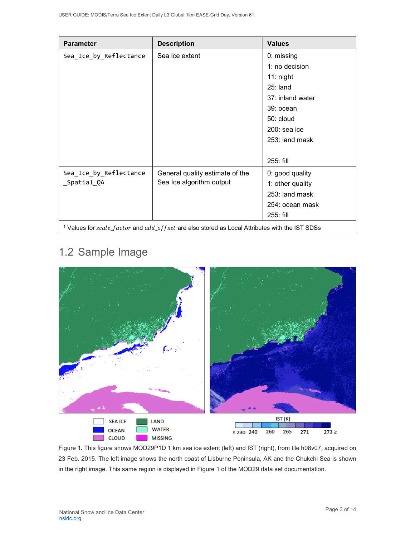| <b>Parameter</b>                      | <b>Description</b>                                                                                             | <b>Values</b>                                                                                                                             |
|---------------------------------------|----------------------------------------------------------------------------------------------------------------|-------------------------------------------------------------------------------------------------------------------------------------------|
| Sea_Ice_by_Reflectance                | Sea ice extent                                                                                                 | 0: missing<br>1: no decision<br>$11:$ night<br>$25:$ land<br>37: inland water<br>39: ocean<br>50: cloud<br>200: sea ice<br>253: land mask |
|                                       |                                                                                                                | 255: fill                                                                                                                                 |
| Sea_Ice_by_Reflectance<br>_Spatial_QA | General quality estimate of the<br>Sea Ice algorithm output                                                    | 0: good quality<br>1: other quality<br>253: land mask<br>254: ocean mask<br>255: fill                                                     |
|                                       | <sup>1</sup> Values for $scale_factor$ and $add_ooffset$ are also stored as Local Attributes with the IST SDSs |                                                                                                                                           |

## <span id="page-3-0"></span>1.2 Sample Image



Figure 1**.** This figure shows MOD29P1D 1 km sea ice extent (left) and IST (right), from tile h08v07, acquired on 23 Feb. 2015. The left image shows the north coast of Lisburne Peninsula, AK and the Chukchi Sea is shown in the right image. This same region is displayed in Figure 1 of the MOD29 data set documentation.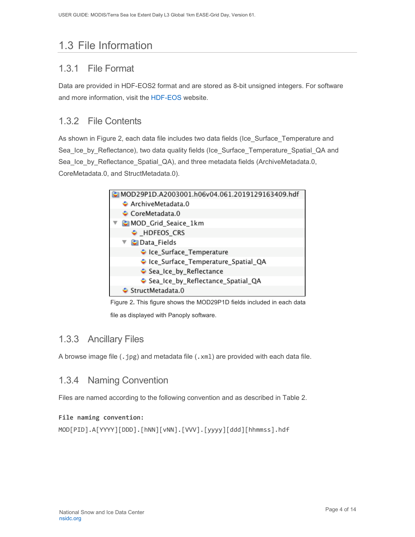# <span id="page-4-0"></span>1.3 File Information

## <span id="page-4-1"></span>1.3.1 File Format

Data are provided in HDF-EOS2 format and are stored as 8-bit unsigned integers. For software and more information, visit the [HDF-EOS](https://portal.hdfgroup.org/display/support) website.

## <span id="page-4-2"></span>1.3.2 File Contents

As shown in Figure 2, each data file includes two data fields (Ice\_Surface\_Temperature and Sea\_Ice\_by\_Reflectance), two data quality fields (Ice\_Surface\_Temperature\_Spatial\_QA and Sea Ice by Reflectance Spatial QA), and three metadata fields (ArchiveMetadata.0, CoreMetadata.0, and StructMetadata.0).



Figure 2**.** This figure shows the MOD29P1D fields included in each data

file as displayed with Panoply software.

## <span id="page-4-3"></span>1.3.3 Ancillary Files

A browse image file (.jpg) and metadata file (.xml) are provided with each data file.

### <span id="page-4-4"></span>1.3.4 Naming Convention

Files are named according to the following convention and as described in Table 2.

#### **File naming convention:**

```
MOD[PID].A[YYYY][DDD].[hNN][vNN].[VVV].[yyyy][ddd][hhmmss].hdf
```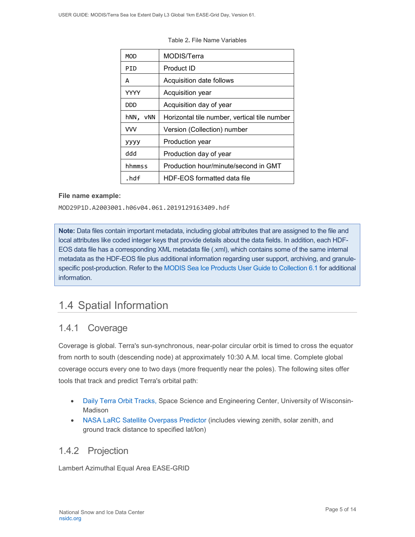| <b>MOD</b>  | MODIS/Terra                                  |
|-------------|----------------------------------------------|
| PID         | Product ID                                   |
| А           | Acquisition date follows                     |
| <b>YYYY</b> | Acquisition year                             |
| DDD         | Acquisition day of year                      |
| hNN,<br>vNN | Horizontal tile number, vertical tile number |
| <b>VVV</b>  | Version (Collection) number                  |
| уууу        | Production year                              |
| hbb         | Production day of year                       |
| hhmmss      | Production hour/minute/second in GMT         |
| .hdf        | HDF-EOS formatted data file                  |

Table 2**.** File Name Variables

#### **File name example:**

MOD29P1D.A2003001.h06v04.061.2019129163409.hdf

**Note:** Data files contain important metadata, including global attributes that are assigned to the file and local attributes like coded integer keys that provide details about the data fields. In addition, each HDF-EOS data file has a corresponding XML metadata file (.xml), which contains some of the same internal metadata as the HDF-EOS file plus additional information regarding user support, archiving, and granulespecific post-production. Refer to the [MODIS Sea Ice Products User Guide to Collection 6.1](https://nsidc.org/sites/nsidc.org/files/technical-references/MOD29_C61_UserGuide.pdf) for additional information.

## <span id="page-5-0"></span>1.4 Spatial Information

### <span id="page-5-1"></span>1.4.1 Coverage

Coverage is global. Terra's sun-synchronous, near-polar circular orbit is timed to cross the equator from north to south (descending node) at approximately 10:30 A.M. local time. Complete global coverage occurs every one to two days (more frequently near the poles). The following sites offer tools that track and predict Terra's orbital path:

- [Daily Terra Orbit Tracks,](http://www.ssec.wisc.edu/datacenter/terra/GLOBAL.html) Space Science and Engineering Center, University of Wisconsin-Madison
- [NASA LaRC Satellite Overpass Predictor](https://cloudsway2.larc.nasa.gov/cgi-bin/predict/predict.cgi) (includes viewing zenith, solar zenith, and ground track distance to specified lat/lon)

### <span id="page-5-2"></span>1.4.2 Projection

Lambert Azimuthal Equal Area EASE-GRID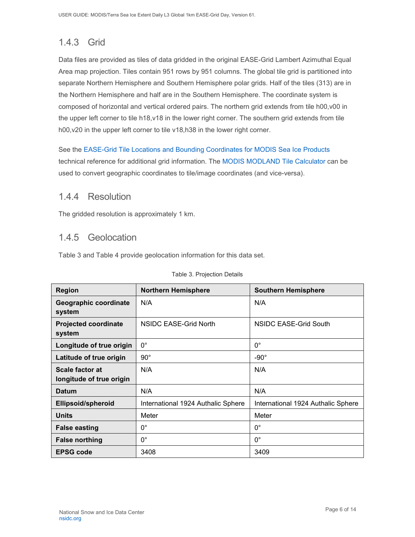## <span id="page-6-0"></span>1.4.3 Grid

Data files are provided as tiles of data gridded in the original EASE-Grid Lambert Azimuthal Equal Area map projection. Tiles contain 951 rows by 951 columns. The global tile grid is partitioned into separate Northern Hemisphere and Southern Hemisphere polar grids. Half of the tiles (313) are in the Northern Hemisphere and half are in the Southern Hemisphere. The coordinate system is composed of horizontal and vertical ordered pairs. The northern grid extends from tile h00,v00 in the upper left corner to tile h18,v18 in the lower right corner. The southern grid extends from tile h00,v20 in the upper left corner to tile v18,h38 in the lower right corner.

See the [EASE-Grid Tile Locations and Bounding Coordinates for MODIS Sea Ice Products](https://nsidc.org/sites/nsidc.org/files/technical-references/EASE-Grid-Tile-Locations-Bounding-Coordinates-MODIS-Sea-Ice.pdf) technical reference for additional grid information. The [MODIS MODLAND Tile Calculator](http://landweb.nascom.nasa.gov/cgi-bin/developer/tilemap.cgi) can be used to convert geographic coordinates to tile/image coordinates (and vice-versa).

### <span id="page-6-1"></span>1.4.4 Resolution

The gridded resolution is approximately 1 km.

### <span id="page-6-2"></span>1.4.5 Geolocation

Table 3 and Table 4 provide geolocation information for this data set.

| <b>Region</b>                               | <b>Northern Hemisphere</b>         | <b>Southern Hemisphere</b>         |  |
|---------------------------------------------|------------------------------------|------------------------------------|--|
| Geographic coordinate<br>system             | N/A                                | N/A                                |  |
| <b>Projected coordinate</b><br>system       | NSIDC EASE-Grid North              | NSIDC EASE-Grid South              |  |
| Longitude of true origin                    | $0^{\circ}$                        | $0^{\circ}$                        |  |
| Latitude of true origin                     | $90^{\circ}$                       | $-90^\circ$                        |  |
| Scale factor at<br>longitude of true origin | N/A                                | N/A                                |  |
| <b>Datum</b>                                | N/A                                | N/A                                |  |
| <b>Ellipsoid/spheroid</b>                   | International 1924 Authalic Sphere | International 1924 Authalic Sphere |  |
| <b>Units</b>                                | Meter                              | Meter                              |  |
| <b>False easting</b>                        | $0^{\circ}$                        | $0^{\circ}$                        |  |
| <b>False northing</b>                       | $0^{\circ}$                        | $0^{\circ}$                        |  |
| <b>EPSG code</b>                            | 3408                               | 3409                               |  |

#### Table 3. Projection Details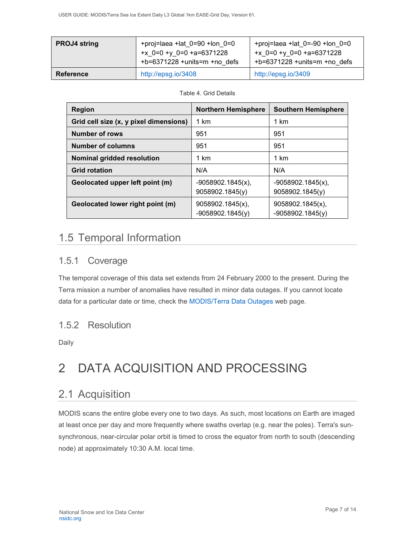| <b>PROJ4 string</b> | +proj=laea +lat $0=90$ +lon $0=0$<br>+x $0=0 +y 0=0 +a=6371228$<br>$+b=6371228 + units=m + no$ defs | +proj=laea +lat $0 = -90$ +lon $0 = 0$<br>+x $0=0 +y 0=0 +a=6371228$<br>+b=6371228 +units=m +no defs |
|---------------------|-----------------------------------------------------------------------------------------------------|------------------------------------------------------------------------------------------------------|
| <b>Reference</b>    | http://epsg.io/3408                                                                                 | http://epsg.io/3409                                                                                  |

#### Table 4. Grid Details

| <b>Region</b>                          | <b>Northern Hemisphere</b>                | <b>Southern Hemisphere</b>             |
|----------------------------------------|-------------------------------------------|----------------------------------------|
| Grid cell size (x, y pixel dimensions) | 1 km                                      | 1 km                                   |
| <b>Number of rows</b>                  | 951                                       | 951                                    |
| <b>Number of columns</b>               | 951                                       | 951                                    |
| Nominal gridded resolution             | 1 km                                      | 1 km                                   |
| <b>Grid rotation</b>                   | N/A                                       | N/A                                    |
| Geolocated upper left point (m)        | $-9058902.1845(x)$ ,<br>9058902.1845(y)   | $-9058902.1845(x),$<br>9058902.1845(y) |
| Geolocated lower right point (m)       | $9058902.1845(x)$ ,<br>$-9058902.1845(y)$ | 9058902.1845(x),<br>$-9058902.1845(y)$ |

## <span id="page-7-0"></span>1.5 Temporal Information

## <span id="page-7-1"></span>1.5.1 Coverage

The temporal coverage of this data set extends from 24 February 2000 to the present. During the Terra mission a number of anomalies have resulted in minor data outages. If you cannot locate data for a particular date or time, check the [MODIS/Terra Data Outages](http://modaps.nascom.nasa.gov/services/production/outages_terra.html) web page.

## <span id="page-7-2"></span>1.5.2 Resolution

Daily

# <span id="page-7-3"></span>2 DATA ACQUISITION AND PROCESSING

## <span id="page-7-4"></span>2.1 Acquisition

MODIS scans the entire globe every one to two days. As such, most locations on Earth are imaged at least once per day and more frequently where swaths overlap (e.g. near the poles). Terra's sunsynchronous, near-circular polar orbit is timed to cross the equator from north to south (descending node) at approximately 10:30 A.M. local time.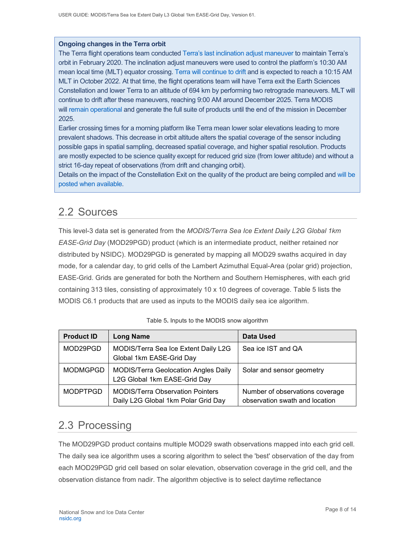#### **Ongoing changes in the Terra orbit**

The Terra flight operations team conducted [Terra's last inclination adjust maneuver](https://terra.nasa.gov/about/terra-orbital-drift) to maintain Terra's orbit in February 2020. The inclination adjust maneuvers were used to control the platform's 10:30 AM mean local time (MLT) equator crossing. [Terra will continue to drift](https://modis.gsfc.nasa.gov/news/individual.php?news_id=100378) and is expected to reach a 10:15 AM MLT in October 2022. At that time, the flight operations team will have Terra exit the Earth Sciences Constellation and lower Terra to an altitude of 694 km by performing two retrograde maneuvers. MLT will continue to drift after these maneuvers, reaching 9:00 AM around December 2025. Terra MODIS will [remain operational](https://landweb.modaps.eosdis.nasa.gov/cgi-bin/QA_WWW/displayCase.cgi?esdt=MOD&caseNum=PM_MOD_21264&caseLocation=cases_data&type=C6&_ga=2.237971648.1728476934.1634939670-1813231108.1634939670) and generate the full suite of products until the end of the mission in December 2025.

Earlier crossing times for a morning platform like Terra mean lower solar elevations leading to more prevalent shadows. This decrease in orbit altitude alters the spatial coverage of the sensor including possible gaps in spatial sampling, decreased spatial coverage, and higher spatial resolution. Products are mostly expected to be science quality except for reduced grid size (from lower altitude) and without a strict 16-day repeat of observations (from drift and changing orbit).

Details on the impact of the Constellation Exit on the quality of the product are being compiled and [will be](https://landweb.modaps.eosdis.nasa.gov/cgi-bin/QS/new/index.cgi)  [posted when available.](https://landweb.modaps.eosdis.nasa.gov/cgi-bin/QS/new/index.cgi)

## <span id="page-8-0"></span>2.2 Sources

This level-3 data set is generated from the *MODIS/Terra Sea Ice Extent Daily L2G Global 1km EASE-Grid Day* (MOD29PGD) product (which is an intermediate product, neither retained nor distributed by NSIDC). MOD29PGD is generated by mapping all MOD29 swaths acquired in day mode, for a calendar day, to grid cells of the Lambert Azimuthal Equal-Area (polar grid) projection, EASE-Grid. Grids are generated for both the Northern and Southern Hemispheres, with each grid containing 313 tiles, consisting of approximately 10 x 10 degrees of coverage. Table 5 lists the MODIS C6.1 products that are used as inputs to the MODIS daily sea ice algorithm.

| <b>Product ID</b> | <b>Long Name</b>                                                               | <b>Data Used</b>                                                  |
|-------------------|--------------------------------------------------------------------------------|-------------------------------------------------------------------|
| MOD29PGD          | MODIS/Terra Sea Ice Extent Daily L2G<br>Global 1km EASE-Grid Day               | Sea ice IST and QA                                                |
| <b>MODMGPGD</b>   | <b>MODIS/Terra Geolocation Angles Daily</b><br>L2G Global 1km EASE-Grid Day    | Solar and sensor geometry                                         |
| <b>MODPTPGD</b>   | <b>MODIS/Terra Observation Pointers</b><br>Daily L2G Global 1km Polar Grid Day | Number of observations coverage<br>observation swath and location |

#### Table 5**.** Inputs to the MODIS snow algorithm

## <span id="page-8-1"></span>2.3 Processing

The MOD29PGD product contains multiple MOD29 swath observations mapped into each grid cell. The daily sea ice algorithm uses a scoring algorithm to select the 'best' observation of the day from each MOD29PGD grid cell based on solar elevation, observation coverage in the grid cell, and the observation distance from nadir. The algorithm objective is to select daytime reflectance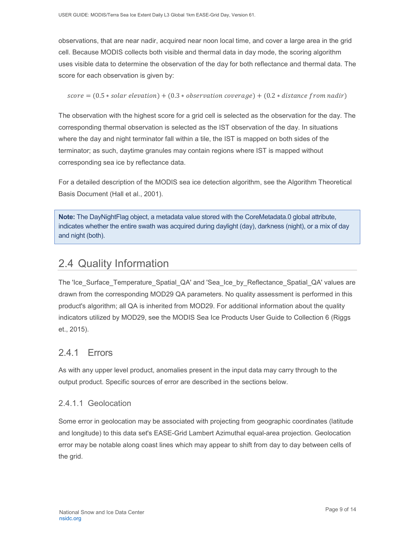observations, that are near nadir, acquired near noon local time, and cover a large area in the grid cell. Because MODIS collects both visible and thermal data in day mode, the scoring algorithm uses visible data to determine the observation of the day for both reflectance and thermal data. The score for each observation is given by:

 $score = (0.5 * solar elevation) + (0.3 * observation covera) + (0.2 * distance from nadir)$ 

The observation with the highest score for a grid cell is selected as the observation for the day. The corresponding thermal observation is selected as the IST observation of the day. In situations where the day and night terminator fall within a tile, the IST is mapped on both sides of the terminator; as such, daytime granules may contain regions where IST is mapped without corresponding sea ice by reflectance data.

For a detailed description of the MODIS sea ice detection algorithm, see the Algorithm Theoretical Basis Document (Hall et al., 2001).

**Note:** The DayNightFlag object, a metadata value stored with the CoreMetadata.0 global attribute, indicates whether the entire swath was acquired during daylight (day), darkness (night), or a mix of day and night (both).

## <span id="page-9-0"></span>2.4 Quality Information

The 'Ice\_Surface\_Temperature\_Spatial\_QA' and 'Sea\_Ice\_by\_Reflectance\_Spatial\_QA' values are drawn from the corresponding MOD29 QA parameters. No quality assessment is performed in this product's algorithm; all QA is inherited from MOD29. For additional information about the quality indicators utilized by MOD29, see the MODIS Sea Ice Products User Guide to Collection 6 (Riggs et., 2015).

### <span id="page-9-1"></span>241 Frrors

As with any upper level product, anomalies present in the input data may carry through to the output product. Specific sources of error are described in the sections below.

#### 2.4.1.1 Geolocation

Some error in geolocation may be associated with projecting from geographic coordinates (latitude and longitude) to this data set's EASE-Grid Lambert Azimuthal equal-area projection. Geolocation error may be notable along coast lines which may appear to shift from day to day between cells of the grid.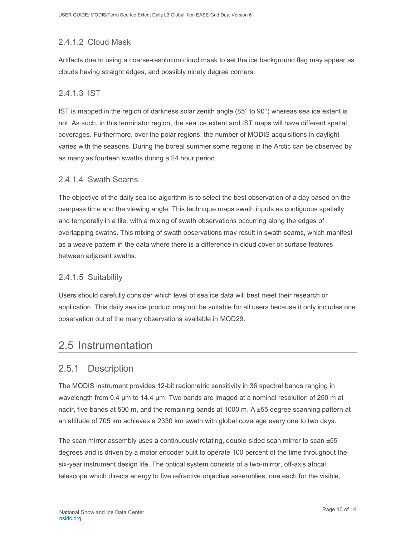### 2.4.1.2 Cloud Mask

Artifacts due to using a coarse-resolution cloud mask to set the ice background flag may appear as clouds having straight edges, and possibly ninety degree corners.

#### 2.4.1.3 IST

IST is mapped in the region of darkness solar zenith angle (85° to 90°) whereas sea ice extent is not. As such, in this terminator region, the sea ice extent and IST maps will have different spatial coverages. Furthermore, over the polar regions, the number of MODIS acquisitions in daylight varies with the seasons. During the boreal summer some regions in the Arctic can be observed by as many as fourteen swaths during a 24 hour period.

#### 2.4.1.4 Swath Seams

The objective of the daily sea ice algorithm is to select the best observation of a day based on the overpass time and the viewing angle. This technique maps swath inputs as contiguous spatially and temporally in a tile, with a mixing of swath observations occurring along the edges of overlapping swaths. This mixing of swath observations may result in swath seams, which manifest as a weave pattern in the data where there is a difference in cloud cover or surface features between adjacent swaths.

#### 2.4.1.5 Suitability

Users should carefully consider which level of sea ice data will best meet their research or application. This daily sea ice product may not be suitable for all users because it only includes one observation out of the many observations available in MOD29.

## <span id="page-10-0"></span>2.5 Instrumentation

### <span id="page-10-1"></span>2.5.1 Description

The MODIS instrument provides 12-bit radiometric sensitivity in 36 spectral bands ranging in wavelength from 0.4 µm to 14.4 µm. Two bands are imaged at a nominal resolution of 250 m at nadir, five bands at 500 m, and the remaining bands at 1000 m. A ±55 degree scanning pattern at an altitude of 705 km achieves a 2330 km swath with global coverage every one to two days.

The scan mirror assembly uses a continuously rotating, double-sided scan mirror to scan ±55 degrees and is driven by a motor encoder built to operate 100 percent of the time throughout the six-year instrument design life. The optical system consists of a two-mirror, off-axis afocal telescope which directs energy to five refractive objective assemblies, one each for the visible,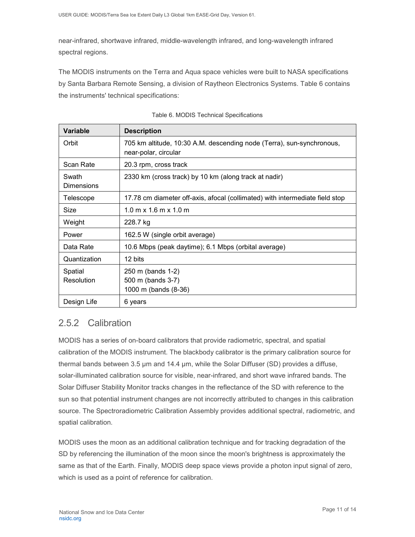near-infrared, shortwave infrared, middle-wavelength infrared, and long-wavelength infrared spectral regions.

The MODIS instruments on the Terra and Aqua space vehicles were built to NASA specifications by Santa Barbara Remote Sensing, a division of Raytheon Electronics Systems. Table 6 contains the instruments' technical specifications:

| <b>Variable</b>            | <b>Description</b>                                                                            |
|----------------------------|-----------------------------------------------------------------------------------------------|
| Orbit                      | 705 km altitude, 10:30 A.M. descending node (Terra), sun-synchronous,<br>near-polar, circular |
| Scan Rate                  | 20.3 rpm, cross track                                                                         |
| Swath<br><b>Dimensions</b> | 2330 km (cross track) by 10 km (along track at nadir)                                         |
| Telescope                  | 17.78 cm diameter off-axis, afocal (collimated) with intermediate field stop                  |
| Size                       | $1.0$ m x $1.6$ m x $1.0$ m                                                                   |
| Weight                     | 228.7 kg                                                                                      |
| Power                      | 162.5 W (single orbit average)                                                                |
| Data Rate                  | 10.6 Mbps (peak daytime); 6.1 Mbps (orbital average)                                          |
| Quantization               | 12 bits                                                                                       |
| Spatial<br>Resolution      | 250 m (bands 1-2)<br>500 m (bands 3-7)<br>1000 m (bands (8-36)                                |
| Design Life                | 6 years                                                                                       |

|  |  |  |  | Table 6. MODIS Technical Specifications |
|--|--|--|--|-----------------------------------------|
|--|--|--|--|-----------------------------------------|

### <span id="page-11-0"></span>2.5.2 Calibration

MODIS has a series of on-board calibrators that provide radiometric, spectral, and spatial calibration of the MODIS instrument. The blackbody calibrator is the primary calibration source for thermal bands between 3.5 µm and 14.4 µm, while the Solar Diffuser (SD) provides a diffuse, solar-illuminated calibration source for visible, near-infrared, and short wave infrared bands. The Solar Diffuser Stability Monitor tracks changes in the reflectance of the SD with reference to the sun so that potential instrument changes are not incorrectly attributed to changes in this calibration source. The Spectroradiometric Calibration Assembly provides additional spectral, radiometric, and spatial calibration.

MODIS uses the moon as an additional calibration technique and for tracking degradation of the SD by referencing the illumination of the moon since the moon's brightness is approximately the same as that of the Earth. Finally, MODIS deep space views provide a photon input signal of zero, which is used as a point of reference for calibration.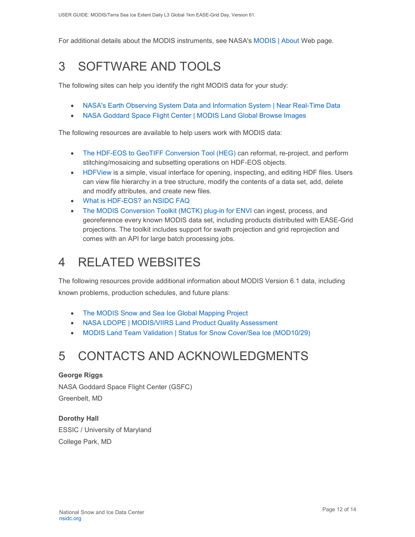For additional details about the MODIS instruments, see NASA's [MODIS | About](http://modis.gsfc.nasa.gov/about/) Web page.

# <span id="page-12-0"></span>3 SOFTWARE AND TOOLS

The following sites can help you identify the right MODIS data for your study:

- [NASA's Earth Observing System Data and Information System | Near Real-Time Data](http://earthdata.nasa.gov/data/near-real-time-data/rapid-response)
- [NASA Goddard Space Flight Center | MODIS Land Global Browse Images](https://landweb.modaps.eosdis.nasa.gov/cgi-bin/browse/browseMODIS.cgi)

The following resources are available to help users work with MODIS data:

- [The HDF-EOS to GeoTIFF Conversion Tool \(HEG\)](https://wiki.earthdata.nasa.gov/display/DAS/HEG%3A++HDF-EOS+to+GeoTIFF+Conversion+Tool) can reformat, re-project, and perform stitching/mosaicing and subsetting operations on HDF-EOS objects.
- [HDFView](https://www.hdfgroup.org/downloads/hdfview/) is a simple, visual interface for opening, inspecting, and editing HDF files. Users can view file hierarchy in a tree structure, modify the contents of a data set, add, delete and modify attributes, and create new files.
- [What is HDF-EOS? an NSIDC FAQ](https://nsidc.org/support/faq/what-hdf-eos)
- [The MODIS Conversion Toolkit \(MCTK\) plug-in for ENVI](https://github.com/dawhite/MCTK) can ingest, process, and georeference every known MODIS data set, including products distributed with EASE-Grid projections. The toolkit includes support for swath projection and grid reprojection and comes with an API for large batch processing jobs.

# <span id="page-12-1"></span>4 RELATED WEBSITES

The following resources provide additional information about MODIS Version 6.1 data, including known problems, production schedules, and future plans:

- [The MODIS Snow and Sea Ice Global Mapping Project](http://modis-snow-ice.gsfc.nasa.gov/)
- [NASA LDOPE | MODIS/VIIRS Land Product Quality Assessment](https://landweb.modaps.eosdis.nasa.gov/cgi-bin/QS/new/index.cgi)
- [MODIS Land Team Validation | Status for Snow Cover/Sea Ice \(MOD10/29\)](https://modis-land.gsfc.nasa.gov/ValStatus.php?ProductID=MOD10/29)

# <span id="page-12-2"></span>5 CONTACTS AND ACKNOWLEDGMENTS

#### **George Riggs**

NASA Goddard Space Flight Center (GSFC) Greenbelt, MD

#### **Dorothy Hall**

ESSIC / University of Maryland College Park, MD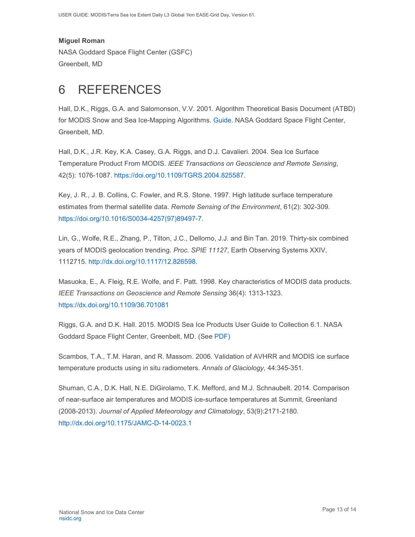#### **Miguel Roman**

NASA Goddard Space Flight Center (GSFC) Greenbelt, MD

# <span id="page-13-0"></span>6 REFERENCES

Hall, D.K., Riggs, G.A. and Salomonson, V.V. 2001. Algorithm Theoretical Basis Document (ATBD) for MODIS Snow and Sea Ice-Mapping Algorithms. [Guide.](https://modis-snow-ice.gsfc.nasa.gov/?c=atbd) NASA Goddard Space Flight Center, Greenbelt, MD.

Hall, D.K., J.R. Key, K.A. Casey, G.A. Riggs, and D.J. Cavalieri. 2004. Sea Ice Surface Temperature Product From MODIS. *IEEE Transactions on Geoscience and Remote Sensing*, 42(5): 1076-1087. [https://doi.org/10.1109/TGRS.2004.825587.](https://doi.org/10.1109/TGRS.2004.825587)

Key, J. R., J. B. Collins, C. Fowler, and R.S. Stone. 1997. High latitude surface temperature estimates from thermal satellite data. *Remote Sensing of the Environment*, 61(2): 302-309. [https://doi.org/10.1016/S0034-4257\(97\)89497-7.](https://doi.org/10.1016/S0034-4257(97)89497-7)

Lin, G., Wolfe, R.E., Zhang, P., Tilton, J.C., Dellomo, J.J. and Bin Tan. 2019. Thirty-six combined years of MODIS geolocation trending. *Proc. SPIE 11127*, Earth Observing Systems XXIV, 1112715. [http://dx.doi.org/10.1117/12.826598.](http://dx.doi.org/10.1117/12.826598)

Masuoka, E., A. Fleig, R.E. Wolfe, and F. Patt. 1998. Key characteristics of MODIS data products. *IEEE Transactions on Geoscience and Remote Sensing* 36(4): 1313-1323. <https://dx.doi.org/10.1109/36.701081>

Riggs, G.A. and D.K. Hall. 2015. MODIS Sea Ice Products User Guide to Collection 6.1. NASA Goddard Space Flight Center, Greenbelt, MD. (See [PDF\)](https://nsidc.org/sites/nsidc.org/files/technical-references/MOD29_C61_UserGuide.pdf)

Scambos, T.A., T.M. Haran, and R. Massom. 2006. Validation of AVHRR and MODIS ice surface temperature products using in situ radiometers. *Annals of Glaciology*, 44:345-351.

Shuman, C.A., D.K. Hall, N.E. DiGirolamo, T.K. Mefford, and M.J. Schnaubelt. 2014. Comparison of near-surface air temperatures and MODIS ice-surface temperatures at Summit, Greenland (2008-2013). *Journal of Applied Meteorology and Climatology*, 53(9):2171-2180. <http://dx.doi.org/10.1175/JAMC-D-14-0023.1>